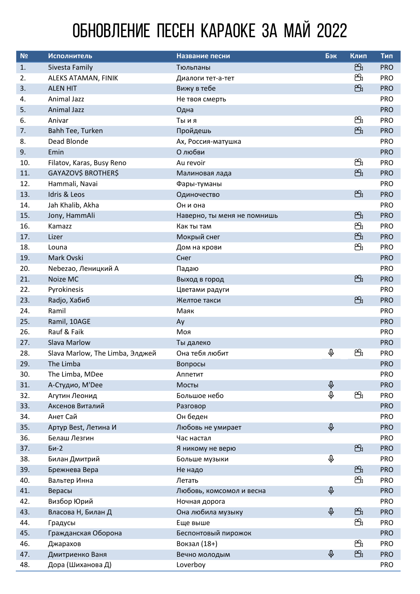## ОБНОВЛЕНИЕ ПЕСЕН КАРАОКЕ ЗА МАЙ 2022

| N <sub>2</sub> | Исполнитель                     | Название песни              | Бэк             | Клип | Тип        |
|----------------|---------------------------------|-----------------------------|-----------------|------|------------|
| 1.             | <b>Sivesta Family</b>           | Тюльпаны                    |                 | සි   | <b>PRO</b> |
| 2.             | ALEKS ATAMAN, FINIK             | Диалоги тет-а-тет           |                 | සි   | <b>PRO</b> |
| 3.             | <b>ALEN HIT</b>                 | Вижу в тебе                 |                 | සි   | <b>PRO</b> |
| 4.             | <b>Animal Jazz</b>              | Не твоя смерть              |                 |      | <b>PRO</b> |
| 5.             | <b>Animal Jazz</b>              | Одна                        |                 |      | <b>PRO</b> |
| 6.             | Anivar                          | Ты и я                      |                 | සී   | <b>PRO</b> |
| 7.             | Bahh Tee, Turken                | Пройдешь                    |                 | සි   | <b>PRO</b> |
| 8.             | Dead Blonde                     | Ах, Россия-матушка          |                 |      | <b>PRO</b> |
| 9.             | Emin                            | О любви                     |                 |      | <b>PRO</b> |
| 10.            | Filatov, Karas, Busy Reno       | Au revoir                   |                 | සී   | <b>PRO</b> |
| 11.            | GAYAZOV\$ BROTHER\$             | Малиновая лада              |                 | සි   | <b>PRO</b> |
| 12.            | Hammali, Navai                  | Фары-туманы                 |                 |      | <b>PRO</b> |
| 13.            | Idris & Leos                    | Одиночество                 |                 | සි   | <b>PRO</b> |
| 14.            | Jah Khalib, Akha                | Он и она                    |                 |      | <b>PRO</b> |
| 15.            | Jony, HammAli                   | Наверно, ты меня не помнишь |                 | සි   | <b>PRO</b> |
| 16.            | Kamazz                          | Как ты там                  |                 | සි   | <b>PRO</b> |
| 17.            | Lizer                           | Мокрый снег                 |                 | සි   | <b>PRO</b> |
| 18.            | Louna                           | Дом на крови                |                 | සි   | <b>PRO</b> |
| 19.            | Mark Ovski                      | Снег                        |                 |      | <b>PRO</b> |
| 20.            | Nebezao, Леницкий А             | Падаю                       |                 |      | <b>PRO</b> |
| 21.            | Noize MC                        | Выход в город               |                 | සි   | <b>PRO</b> |
| 22.            | Pyrokinesis                     | Цветами радуги              |                 |      | <b>PRO</b> |
| 23.            | Radjo, Хабиб                    | Желтое такси                |                 | සි   | <b>PRO</b> |
| 24.            | Ramil                           | Маяк                        |                 |      | <b>PRO</b> |
| 25.            | Ramil, 10AGE                    | Ay                          |                 |      | <b>PRO</b> |
| 26.            | Rauf & Faik                     | Моя                         |                 |      | <b>PRO</b> |
| 27.            | Slava Marlow                    | Ты далеко                   |                 |      | <b>PRO</b> |
| 28.            | Slava Marlow, The Limba, Элджей | Она тебя любит              | Q,              | සි   | <b>PRO</b> |
| 29.            | The Limba                       | Вопросы                     |                 |      | <b>PRO</b> |
| 30.            | The Limba, MDee                 | Аппетит                     |                 |      | <b>PRO</b> |
| 31.            | А-Студио, M'Dee                 | Мосты                       | $\pmb{\varphi}$ |      | <b>PRO</b> |
| 32.            | Агутин Леонид                   | Большое небо                | $\varphi$       | සි   | <b>PRO</b> |
| 33.            | Аксенов Виталий                 | Разговор                    |                 |      | <b>PRO</b> |
| 34.            | Анет Сай                        | Он беден                    |                 |      | <b>PRO</b> |
| 35.            | Артур Best, Летина И            | Любовь не умирает           | $\varphi$       |      | <b>PRO</b> |
| 36.            | Белаш Лезгин                    | Час настал                  |                 |      | <b>PRO</b> |
| 37.            | Би-2                            | Я никому не верю            |                 | සි   | <b>PRO</b> |
| 38.            | Билан Дмитрий                   | Больше музыки               | Q               |      | <b>PRO</b> |
| 39.            | Брежнева Вера                   | Не надо                     |                 | සි   | <b>PRO</b> |
| 40.            | Вальтер Инна                    | Летать                      |                 | සි   | <b>PRO</b> |
| 41.            | Верасы                          | Любовь, комсомол и весна    | $\varphi$       |      | <b>PRO</b> |
| 42.            | Визбор Юрий                     | Ночная дорога               |                 |      | <b>PRO</b> |
| 43.            | Власова Н, Билан Д              | Она любила музыку           | $\varphi$       | සි   | <b>PRO</b> |
| 44.            | Градусы                         | Еще выше                    |                 | සි   | <b>PRO</b> |
| 45.            | Гражданская Оборона             | Беспонтовый пирожок         |                 |      | <b>PRO</b> |
| 46.            | Джарахов                        | Вокзал (18+)                |                 | සි   | <b>PRO</b> |
| 47.            | Дмитриенко Ваня                 | Вечно молодым               | $\varphi$       | සි   | <b>PRO</b> |
| 48.            | Дора (Шиханова Д)               | Loverboy                    |                 |      | <b>PRO</b> |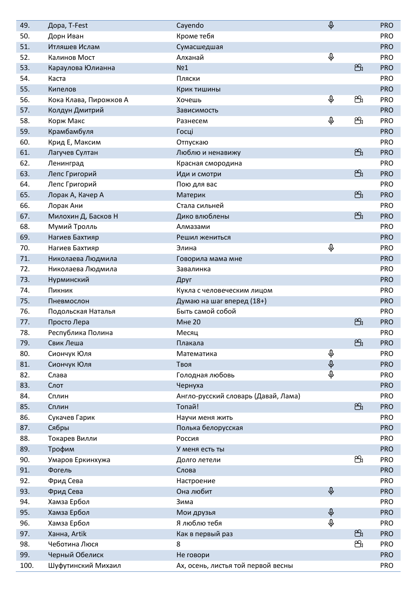| 49.  | Дора, T-Fest           | Cayendo                             | $\varphi$       |    | <b>PRO</b> |
|------|------------------------|-------------------------------------|-----------------|----|------------|
| 50.  | Дорн Иван              | Кроме тебя                          |                 |    | <b>PRO</b> |
| 51.  | Итляшев Ислам          | Сумасшедшая                         |                 |    | <b>PRO</b> |
| 52.  | Калинов Мост           | Алханай                             | $\hat{\Phi}$    |    | <b>PRO</b> |
| 53.  | Караулова Юлианна      | No <sub>1</sub>                     |                 | සි | <b>PRO</b> |
| 54.  | Каста                  | Пляски                              |                 |    | <b>PRO</b> |
| 55.  | Кипелов                | Крик тишины                         |                 |    | <b>PRO</b> |
| 56.  | Кока Клава, Пирожков А | Хочешь                              | $\varphi$       | සි | <b>PRO</b> |
| 57.  | Колдун Дмитрий         | Зависимость                         |                 |    | <b>PRO</b> |
| 58.  | Корж Макс              | Разнесем                            | Q,              | සි | <b>PRO</b> |
| 59.  | Крамбамбуля            | Госці                               |                 |    | <b>PRO</b> |
| 60.  | Крид Е, Максим         | Отпускаю                            |                 |    | <b>PRO</b> |
| 61.  | Лагучев Султан         | Люблю и ненавижу                    |                 | සි | <b>PRO</b> |
| 62.  | Ленинград              | Красная смородина                   |                 |    | <b>PRO</b> |
| 63.  | Лепс Григорий          | Иди и смотри                        |                 | සි | <b>PRO</b> |
| 64.  | Лепс Григорий          | Пою для вас                         |                 |    | <b>PRO</b> |
| 65.  | Лорак А, Качер А       | Материк                             |                 | සි | <b>PRO</b> |
| 66.  | Лорак Ани              | Стала сильней                       |                 |    | <b>PRO</b> |
| 67.  | Милохин Д, Басков Н    | Дико влюблены                       |                 | සි | <b>PRO</b> |
| 68.  | Мумий Тролль           | Алмазами                            |                 |    | <b>PRO</b> |
| 69.  | Нагиев Бахтияр         | Решил жениться                      |                 |    | <b>PRO</b> |
| 70.  | Нагиев Бахтияр         | Элина                               | $\hat{\Phi}$    |    | <b>PRO</b> |
| 71.  | Николаева Людмила      | Говорила мама мне                   |                 |    | <b>PRO</b> |
| 72.  | Николаева Людмила      | Завалинка                           |                 |    | <b>PRO</b> |
| 73.  | Нурминский             | Друг                                |                 |    | <b>PRO</b> |
| 74.  | Пикник                 | Кукла с человеческим лицом          |                 |    | <b>PRO</b> |
| 75.  | Пневмослон             | Думаю на шаг вперед (18+)           |                 |    | <b>PRO</b> |
| 76.  | Подольская Наталья     | Быть самой собой                    |                 |    | <b>PRO</b> |
| 77.  | Просто Лера            | <b>Мне 20</b>                       |                 | සි | <b>PRO</b> |
| 78.  | Республика Полина      | Месяц                               |                 |    | PRO        |
| 79.  | Свик Леша              | Плакала                             |                 | සි | <b>PRO</b> |
| 80.  | Сиончук Юля            | Математика                          | Q               |    | <b>PRO</b> |
| 81.  | Сиончук Юля            | Твоя                                | $\pmb{\varphi}$ |    | <b>PRO</b> |
| 82.  | Слава                  | Голодная любовь                     | $\hat{\phi}$    |    | <b>PRO</b> |
| 83.  | Слот                   | Чернуха                             |                 |    | <b>PRO</b> |
| 84.  | Сплин                  | Англо-русский словарь (Давай, Лама) |                 |    | <b>PRO</b> |
| 85.  | Сплин                  | Топай!                              |                 | සි | <b>PRO</b> |
| 86.  | Сукачев Гарик          | Научи меня жить                     |                 |    | <b>PRO</b> |
| 87.  | Сябры                  | Полька белорусская                  |                 |    | <b>PRO</b> |
| 88.  | Токарев Вилли          | Россия                              |                 |    | <b>PRO</b> |
| 89.  | Трофим                 | У меня есть ты                      |                 |    | <b>PRO</b> |
| 90.  | Умаров Еркинхужа       | Долго летели                        |                 | සි | <b>PRO</b> |
| 91.  | Фогель                 | Слова                               |                 |    | <b>PRO</b> |
| 92.  | Фрид Сева              | Настроение                          |                 |    | <b>PRO</b> |
| 93.  | Фрид Сева              | Она любит                           | $\varphi$       |    | <b>PRO</b> |
| 94.  | Хамза Ербол            | Зима                                |                 |    | <b>PRO</b> |
| 95.  | Хамза Ербол            | Мои друзья                          | $\varphi$       |    | <b>PRO</b> |
| 96.  | Хамза Ербол            | Я люблю тебя                        | $\varphi$       |    | <b>PRO</b> |
| 97.  | Ханна, Artik           | Как в первый раз                    |                 | සි | <b>PRO</b> |
| 98.  | Чеботина Люся          | 8                                   |                 | සි | <b>PRO</b> |
| 99.  | Черный Обелиск         | Не говори                           |                 |    | <b>PRO</b> |
| 100. | Шуфутинский Михаил     | Ах, осень, листья той первой весны  |                 |    | <b>PRO</b> |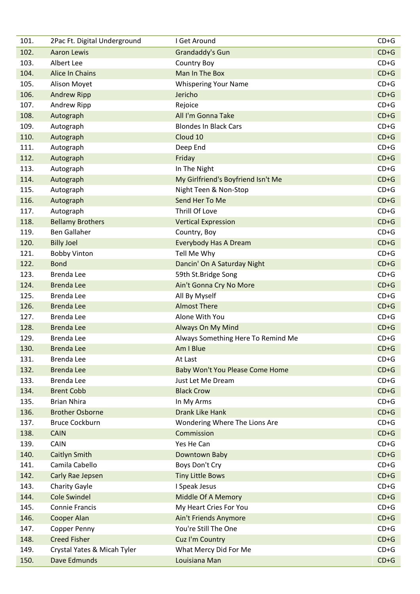| 101. | 2Pac Ft. Digital Underground | I Get Around                       | $CD+G$ |
|------|------------------------------|------------------------------------|--------|
| 102. | <b>Aaron Lewis</b>           | Grandaddy's Gun                    | $CD+G$ |
| 103. | Albert Lee                   | <b>Country Boy</b>                 | $CD+G$ |
| 104. | Alice In Chains              | Man In The Box                     | $CD+G$ |
| 105. | Alison Moyet                 | <b>Whispering Your Name</b>        | $CD+G$ |
| 106. | <b>Andrew Ripp</b>           | Jericho                            | $CD+G$ |
| 107. | Andrew Ripp                  | Rejoice                            | $CD+G$ |
| 108. | Autograph                    | All I'm Gonna Take                 | $CD+G$ |
| 109. | Autograph                    | <b>Blondes In Black Cars</b>       | $CD+G$ |
| 110. | Autograph                    | Cloud 10                           | $CD+G$ |
| 111. | Autograph                    | Deep End                           | $CD+G$ |
| 112. | Autograph                    | Friday                             | $CD+G$ |
| 113. | Autograph                    | In The Night                       | $CD+G$ |
| 114. | Autograph                    | My Girlfriend's Boyfriend Isn't Me | $CD+G$ |
| 115. | Autograph                    | Night Teen & Non-Stop              | $CD+G$ |
| 116. | Autograph                    | Send Her To Me                     | $CD+G$ |
| 117. | Autograph                    | Thrill Of Love                     | $CD+G$ |
| 118. | <b>Bellamy Brothers</b>      | <b>Vertical Expression</b>         | $CD+G$ |
| 119. | <b>Ben Gallaher</b>          | Country, Boy                       | $CD+G$ |
| 120. | <b>Billy Joel</b>            | <b>Everybody Has A Dream</b>       | $CD+G$ |
| 121. | <b>Bobby Vinton</b>          | Tell Me Why                        | $CD+G$ |
| 122. | <b>Bond</b>                  | Dancin' On A Saturday Night        | $CD+G$ |
| 123. | Brenda Lee                   | 59th St.Bridge Song                | $CD+G$ |
| 124. | <b>Brenda Lee</b>            | Ain't Gonna Cry No More            | $CD+G$ |
| 125. | Brenda Lee                   | All By Myself                      | $CD+G$ |
| 126. | <b>Brenda Lee</b>            | <b>Almost There</b>                | $CD+G$ |
| 127. | Brenda Lee                   | Alone With You                     | $CD+G$ |
| 128. | <b>Brenda Lee</b>            | Always On My Mind                  | $CD+G$ |
| 129. | Brenda Lee                   | Always Something Here To Remind Me | $CD+G$ |
| 130. | <b>Brenda Lee</b>            | Am I Blue                          | $CD+G$ |
| 131. | Brenda Lee                   | At Last                            | $CD+G$ |
| 132. | <b>Brenda Lee</b>            | Baby Won't You Please Come Home    | $CD+G$ |
| 133. | Brenda Lee                   | Just Let Me Dream                  | $CD+G$ |
| 134. | <b>Brent Cobb</b>            | <b>Black Crow</b>                  | $CD+G$ |
| 135. | <b>Brian Nhira</b>           | In My Arms                         | $CD+G$ |
| 136. | <b>Brother Osborne</b>       | <b>Drank Like Hank</b>             | $CD+G$ |
| 137. | <b>Bruce Cockburn</b>        | Wondering Where The Lions Are      | $CD+G$ |
| 138. | <b>CAIN</b>                  | Commission                         | $CD+G$ |
| 139. | CAIN                         | Yes He Can                         | $CD+G$ |
| 140. | Caitlyn Smith                | Downtown Baby                      | $CD+G$ |
| 141. | Camila Cabello               | Boys Don't Cry                     | $CD+G$ |
| 142. | Carly Rae Jepsen             | <b>Tiny Little Bows</b>            | $CD+G$ |
| 143. | <b>Charity Gayle</b>         | I Speak Jesus                      | $CD+G$ |
| 144. | <b>Cole Swindel</b>          | Middle Of A Memory                 | $CD+G$ |
| 145. | <b>Connie Francis</b>        | My Heart Cries For You             | $CD+G$ |
| 146. | Cooper Alan                  | Ain't Friends Anymore              | $CD+G$ |
| 147. | Copper Penny                 | You're Still The One               | $CD+G$ |
| 148. | <b>Creed Fisher</b>          | Cuz I'm Country                    | $CD+G$ |
| 149. | Crystal Yates & Micah Tyler  | What Mercy Did For Me              | $CD+G$ |
| 150. | Dave Edmunds                 | Louisiana Man                      | $CD+G$ |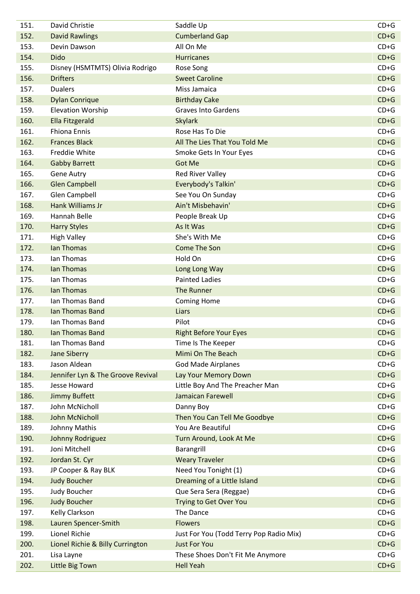| 151.         | David Christie                             | Saddle Up                                            | $CD+G$           |
|--------------|--------------------------------------------|------------------------------------------------------|------------------|
| 152.         | <b>David Rawlings</b>                      | <b>Cumberland Gap</b>                                | $CD+G$           |
| 153.         | Devin Dawson                               | All On Me                                            | $CD+G$           |
| 154.         | <b>Dido</b>                                | <b>Hurricanes</b>                                    | $CD+G$           |
| 155.         | Disney (HSMTMTS) Olivia Rodrigo            | Rose Song                                            | $CD+G$           |
| 156.         | <b>Drifters</b>                            | <b>Sweet Caroline</b>                                | $CD+G$           |
| 157.         | <b>Dualers</b>                             | Miss Jamaica                                         | $CD+G$           |
| 158.         | <b>Dylan Conrique</b>                      | <b>Birthday Cake</b>                                 | $CD+G$           |
| 159.         | <b>Elevation Worship</b>                   | <b>Graves Into Gardens</b>                           | $CD+G$           |
| 160.         | <b>Ella Fitzgerald</b>                     | <b>Skylark</b>                                       | $CD+G$           |
| 161.         | <b>Fhiona Ennis</b>                        | Rose Has To Die                                      | $CD+G$           |
| 162.         | <b>Frances Black</b>                       | All The Lies That You Told Me                        | $CD+G$           |
| 163.         | Freddie White                              | Smoke Gets In Your Eyes                              | $CD+G$           |
| 164.         | <b>Gabby Barrett</b>                       | <b>Got Me</b>                                        | $CD+G$           |
| 165.         | <b>Gene Autry</b>                          | <b>Red River Valley</b>                              | $CD+G$           |
| 166.         | <b>Glen Campbell</b>                       | Everybody's Talkin'                                  | $CD+G$           |
| 167.         | <b>Glen Campbell</b>                       | See You On Sunday                                    | $CD+G$           |
| 168.         | Hank Williams Jr                           | Ain't Misbehavin'                                    | $CD+G$           |
| 169.         | Hannah Belle                               | People Break Up                                      | $CD+G$           |
| 170.         | <b>Harry Styles</b>                        | As It Was                                            | $CD+G$           |
| 171.         | <b>High Valley</b>                         | She's With Me                                        | $CD+G$           |
| 172.         | <b>Ian Thomas</b>                          | <b>Come The Son</b>                                  | $CD+G$           |
| 173.         | Ian Thomas                                 | Hold On                                              | $CD+G$           |
| 174.         | Ian Thomas                                 | Long Long Way                                        | $CD+G$           |
| 175.         | Ian Thomas                                 | <b>Painted Ladies</b>                                | $CD+G$           |
| 176.         | Ian Thomas                                 | The Runner                                           | $CD+G$           |
| 177.         | Ian Thomas Band                            | <b>Coming Home</b>                                   | $CD+G$           |
| 178.         | Ian Thomas Band                            | Liars                                                | $CD+G$           |
| 179.         | Ian Thomas Band                            | Pilot                                                | $CD+G$           |
| 180.         | Ian Thomas Band                            | <b>Right Before Your Eyes</b>                        | $CD+G$           |
| 181.         | Ian Thomas Band                            | Time Is The Keeper                                   | $CD+G$           |
| 182.         | <b>Jane Siberry</b>                        | Mimi On The Beach                                    | $CD+G$           |
| 183.         | Jason Aldean                               | <b>God Made Airplanes</b>                            | $CD+G$           |
| 184.         | Jennifer Lyn & The Groove Revival          | Lay Your Memory Down                                 | $CD+G$           |
| 185.         | <b>Jesse Howard</b>                        | Little Boy And The Preacher Man                      | $CD+G$           |
| 186.         | <b>Jimmy Buffett</b>                       | Jamaican Farewell                                    | $CD+G$           |
| 187.         | John McNicholl                             | Danny Boy                                            | $CD+G$           |
| 188.         | John McNicholl                             | Then You Can Tell Me Goodbye                         | $CD+G$           |
| 189.         | Johnny Mathis                              | You Are Beautiful                                    | $CD+G$           |
| 190.         | Johnny Rodriguez                           | Turn Around, Look At Me                              | $CD+G$           |
| 191.         | Joni Mitchell                              | Barangrill                                           | $CD+G$           |
| 192.         | Jordan St. Cyr                             | <b>Weary Traveler</b>                                | $CD+G$           |
| 193.         | JP Cooper & Ray BLK                        | Need You Tonight (1)                                 | $CD+G$           |
| 194.         | <b>Judy Boucher</b>                        | Dreaming of a Little Island                          | $CD+G$           |
|              |                                            |                                                      | $CD+G$           |
| 195.<br>196. | <b>Judy Boucher</b><br><b>Judy Boucher</b> | Que Sera Sera (Reggae)                               | $CD+G$           |
| 197.         |                                            | Trying to Get Over You<br>The Dance                  | $CD+G$           |
|              | Kelly Clarkson                             |                                                      | $CD+G$           |
| 198.         | Lauren Spencer-Smith<br>Lionel Richie      | <b>Flowers</b>                                       | $CD+G$           |
| 199.         |                                            | Just For You (Todd Terry Pop Radio Mix)              |                  |
| 200.         | Lionel Richie & Billy Currington           | <b>Just For You</b>                                  | $CD+G$<br>$CD+G$ |
| 201.         | Lisa Layne                                 | These Shoes Don't Fit Me Anymore<br><b>Hell Yeah</b> | $CD+G$           |
| 202.         | Little Big Town                            |                                                      |                  |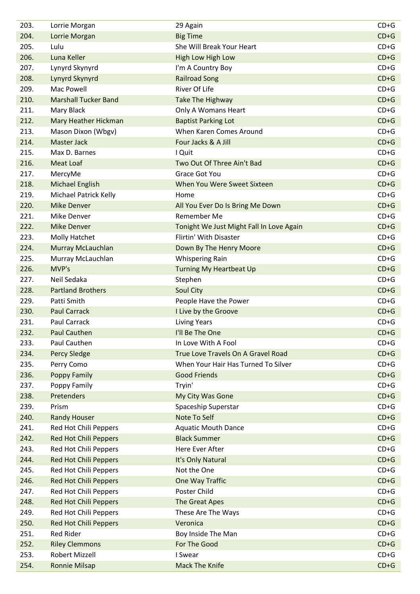| 203. | Lorrie Morgan                | 29 Again                                 | $CD+G$ |
|------|------------------------------|------------------------------------------|--------|
| 204. | Lorrie Morgan                | <b>Big Time</b>                          | $CD+G$ |
| 205. | Lulu                         | She Will Break Your Heart                | $CD+G$ |
| 206. | Luna Keller                  | <b>High Low High Low</b>                 | $CD+G$ |
| 207. | Lynyrd Skynyrd               | I'm A Country Boy                        | $CD+G$ |
| 208. | Lynyrd Skynyrd               | <b>Railroad Song</b>                     | $CD+G$ |
| 209. | Mac Powell                   | <b>River Of Life</b>                     | $CD+G$ |
| 210. | <b>Marshall Tucker Band</b>  | <b>Take The Highway</b>                  | $CD+G$ |
| 211. | Mary Black                   | Only A Womans Heart                      | $CD+G$ |
| 212. | Mary Heather Hickman         | <b>Baptist Parking Lot</b>               | $CD+G$ |
| 213. | Mason Dixon (Wbgv)           | When Karen Comes Around                  | $CD+G$ |
| 214. | <b>Master Jack</b>           | Four Jacks & A Jill                      | $CD+G$ |
| 215. | Max D. Barnes                | I Quit                                   | $CD+G$ |
| 216. | <b>Meat Loaf</b>             | Two Out Of Three Ain't Bad               | $CD+G$ |
| 217. | MercyMe                      | <b>Grace Got You</b>                     | $CD+G$ |
| 218. | Michael English              | When You Were Sweet Sixteen              | $CD+G$ |
| 219. | <b>Michael Patrick Kelly</b> | Home                                     | $CD+G$ |
| 220. | <b>Mike Denver</b>           | All You Ever Do Is Bring Me Down         | $CD+G$ |
| 221. | Mike Denver                  | Remember Me                              | $CD+G$ |
| 222. | <b>Mike Denver</b>           | Tonight We Just Might Fall In Love Again | $CD+G$ |
| 223. | Molly Hatchet                | Flirtin' With Disaster                   | $CD+G$ |
| 224. | Murray McLauchlan            | Down By The Henry Moore                  | $CD+G$ |
| 225. | Murray McLauchlan            | <b>Whispering Rain</b>                   | $CD+G$ |
| 226. | MVP's                        | <b>Turning My Heartbeat Up</b>           | $CD+G$ |
| 227. | Neil Sedaka                  | Stephen                                  | $CD+G$ |
| 228. | <b>Partland Brothers</b>     | Soul City                                | $CD+G$ |
| 229. | Patti Smith                  | People Have the Power                    | $CD+G$ |
| 230. | <b>Paul Carrack</b>          | I Live by the Groove                     | $CD+G$ |
| 231. | Paul Carrack                 | <b>Living Years</b>                      | $CD+G$ |
| 232. | <b>Paul Cauthen</b>          | I'll Be The One                          | $CD+G$ |
| 233. | Paul Cauthen                 | In Love With A Fool                      | $CD+G$ |
| 234. | <b>Percy Sledge</b>          | True Love Travels On A Gravel Road       | $CD+G$ |
| 235. | Perry Como                   | When Your Hair Has Turned To Silver      | $CD+G$ |
| 236. | Poppy Family                 | <b>Good Friends</b>                      | $CD+G$ |
| 237. | Poppy Family                 | Tryin'                                   | $CD+G$ |
| 238. | Pretenders                   | My City Was Gone                         | $CD+G$ |
| 239. | Prism                        | Spaceship Superstar                      | $CD+G$ |
| 240. | <b>Randy Houser</b>          | Note To Self                             | $CD+G$ |
| 241. | Red Hot Chili Peppers        | <b>Aquatic Mouth Dance</b>               | $CD+G$ |
| 242. | <b>Red Hot Chili Peppers</b> | <b>Black Summer</b>                      | $CD+G$ |
| 243. | Red Hot Chili Peppers        | Here Ever After                          | $CD+G$ |
| 244. | <b>Red Hot Chili Peppers</b> | It's Only Natural                        | $CD+G$ |
| 245. | Red Hot Chili Peppers        | Not the One                              | $CD+G$ |
| 246. | <b>Red Hot Chili Peppers</b> | One Way Traffic                          | $CD+G$ |
| 247. | Red Hot Chili Peppers        | Poster Child                             | $CD+G$ |
| 248. | <b>Red Hot Chili Peppers</b> | The Great Apes                           | $CD+G$ |
| 249. | Red Hot Chili Peppers        | These Are The Ways                       | $CD+G$ |
| 250. | <b>Red Hot Chili Peppers</b> | Veronica                                 | $CD+G$ |
| 251. | <b>Red Rider</b>             | Boy Inside The Man                       | $CD+G$ |
| 252. | <b>Riley Clemmons</b>        | For The Good                             | $CD+G$ |
| 253. | <b>Robert Mizzell</b>        | I Swear                                  | $CD+G$ |
| 254. | <b>Ronnie Milsap</b>         | <b>Mack The Knife</b>                    | $CD+G$ |